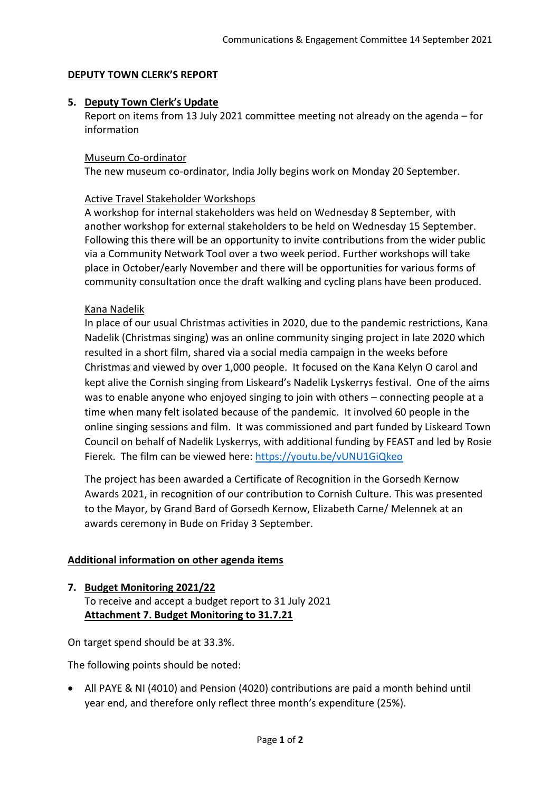#### **DEPUTY TOWN CLERK'S REPORT**

#### **5. Deputy Town Clerk's Update**

Report on items from 13 July 2021 committee meeting not already on the agenda – for information

#### Museum Co-ordinator

The new museum co-ordinator, India Jolly begins work on Monday 20 September.

### Active Travel Stakeholder Workshops

A workshop for internal stakeholders was held on Wednesday 8 September, with another workshop for external stakeholders to be held on Wednesday 15 September. Following this there will be an opportunity to invite contributions from the wider public via a Community Network Tool over a two week period. Further workshops will take place in October/early November and there will be opportunities for various forms of community consultation once the draft walking and cycling plans have been produced.

### Kana Nadelik

In place of our usual Christmas activities in 2020, due to the pandemic restrictions, Kana Nadelik (Christmas singing) was an online community singing project in late 2020 which resulted in a short film, shared via a social media campaign in the weeks before Christmas and viewed by over 1,000 people. It focused on the Kana Kelyn O carol and kept alive the Cornish singing from Liskeard's Nadelik Lyskerrys festival. One of the aims was to enable anyone who enjoyed singing to join with others – connecting people at a time when many felt isolated because of the pandemic. It involved 60 people in the online singing sessions and film. It was commissioned and part funded by Liskeard Town Council on behalf of Nadelik Lyskerrys, with additional funding by FEAST and led by Rosie Fierek. The film can be viewed here:<https://youtu.be/vUNU1GiQkeo>

The project has been awarded a Certificate of Recognition in the Gorsedh Kernow Awards 2021, in recognition of our contribution to Cornish Culture. This was presented to the Mayor, by Grand Bard of Gorsedh Kernow, Elizabeth Carne/ Melennek at an awards ceremony in Bude on Friday 3 September.

## **Additional information on other agenda items**

#### **7. Budget Monitoring 2021/22**

To receive and accept a budget report to 31 July 2021 **Attachment 7. Budget Monitoring to 31.7.21**

On target spend should be at 33.3%.

The following points should be noted:

• All PAYE & NI (4010) and Pension (4020) contributions are paid a month behind until year end, and therefore only reflect three month's expenditure (25%).